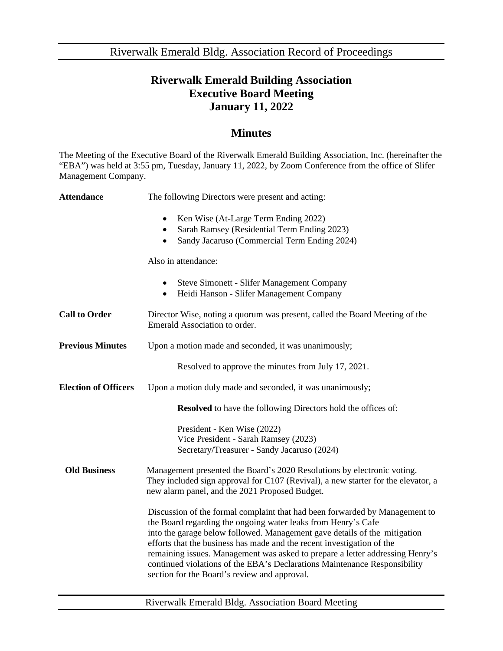Riverwalk Emerald Bldg. Association Record of Proceedings

## **Riverwalk Emerald Building Association Executive Board Meeting January 11, 2022**

## **Minutes**

The Meeting of the Executive Board of the Riverwalk Emerald Building Association, Inc. (hereinafter the "EBA") was held at 3:55 pm, Tuesday, January 11, 2022, by Zoom Conference from the office of Slifer Management Company.

| <b>Attendance</b>           | The following Directors were present and acting:                                                                                                                                                                                                                                                                                                                                                                                                                                                                  |
|-----------------------------|-------------------------------------------------------------------------------------------------------------------------------------------------------------------------------------------------------------------------------------------------------------------------------------------------------------------------------------------------------------------------------------------------------------------------------------------------------------------------------------------------------------------|
|                             | Ken Wise (At-Large Term Ending 2022)<br>$\bullet$<br>Sarah Ramsey (Residential Term Ending 2023)<br>Sandy Jacaruso (Commercial Term Ending 2024)<br>$\bullet$                                                                                                                                                                                                                                                                                                                                                     |
|                             | Also in attendance:                                                                                                                                                                                                                                                                                                                                                                                                                                                                                               |
|                             | <b>Steve Simonett - Slifer Management Company</b><br>Heidi Hanson - Slifer Management Company                                                                                                                                                                                                                                                                                                                                                                                                                     |
| <b>Call to Order</b>        | Director Wise, noting a quorum was present, called the Board Meeting of the<br>Emerald Association to order.                                                                                                                                                                                                                                                                                                                                                                                                      |
| <b>Previous Minutes</b>     | Upon a motion made and seconded, it was unanimously;                                                                                                                                                                                                                                                                                                                                                                                                                                                              |
|                             | Resolved to approve the minutes from July 17, 2021.                                                                                                                                                                                                                                                                                                                                                                                                                                                               |
| <b>Election of Officers</b> | Upon a motion duly made and seconded, it was unanimously;                                                                                                                                                                                                                                                                                                                                                                                                                                                         |
|                             | <b>Resolved</b> to have the following Directors hold the offices of:                                                                                                                                                                                                                                                                                                                                                                                                                                              |
|                             | President - Ken Wise (2022)<br>Vice President - Sarah Ramsey (2023)<br>Secretary/Treasurer - Sandy Jacaruso (2024)                                                                                                                                                                                                                                                                                                                                                                                                |
| <b>Old Business</b>         | Management presented the Board's 2020 Resolutions by electronic voting.<br>They included sign approval for C107 (Revival), a new starter for the elevator, a<br>new alarm panel, and the 2021 Proposed Budget.                                                                                                                                                                                                                                                                                                    |
|                             | Discussion of the formal complaint that had been forwarded by Management to<br>the Board regarding the ongoing water leaks from Henry's Cafe<br>into the garage below followed. Management gave details of the mitigation<br>efforts that the business has made and the recent investigation of the<br>remaining issues. Management was asked to prepare a letter addressing Henry's<br>continued violations of the EBA's Declarations Maintenance Responsibility<br>section for the Board's review and approval. |